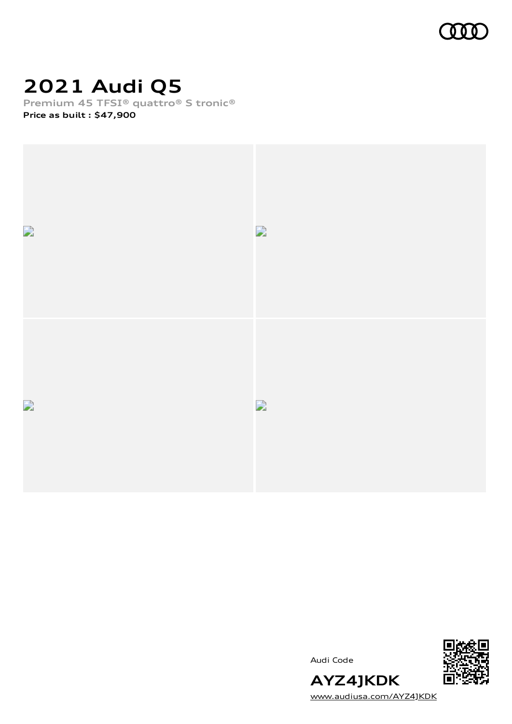

## **2021 Audi Q5**

**Premium 45 TFSI® quattro® S tronic®**

**Price as built [:](#page-10-0) \$47,900**



Audi Code



[www.audiusa.com/AYZ4JKDK](https://www.audiusa.com/AYZ4JKDK)

**AYZ4JKDK**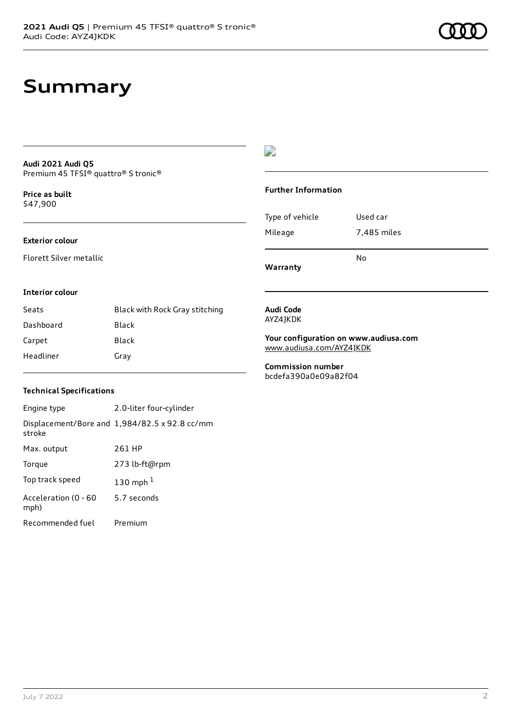### **Summary**

#### **Audi 2021 Audi Q5** Premium 45 TFSI® quattro® S tronic®

**Price as buil[t](#page-10-0)** \$47,900

#### **Exterior colour**

Florett Silver metallic

#### $\overline{\phantom{a}}$

#### **Further Information**

|                 | N٥          |
|-----------------|-------------|
| Mileage         | 7,485 miles |
| Type of vehicle | Used car    |

**Warranty**

#### **Interior colour**

| Seats     | Black with Rock Gray stitching |
|-----------|--------------------------------|
| Dashboard | Black                          |
| Carpet    | Black                          |
| Headliner | Gray                           |

#### **Audi Code** AYZ4JKDK

**Your configuration on www.audiusa.com** [www.audiusa.com/AYZ4JKDK](https://www.audiusa.com/AYZ4JKDK)

**Commission number** bcdefa390a0e09a82f04

#### **Technical Specifications**

| Engine type                  | 2.0-liter four-cylinder                       |
|------------------------------|-----------------------------------------------|
| stroke                       | Displacement/Bore and 1,984/82.5 x 92.8 cc/mm |
| Max. output                  | 261 HP                                        |
| Torque                       | 273 lb-ft@rpm                                 |
| Top track speed              | 130 mph $1$                                   |
| Acceleration (0 - 60<br>mph) | 5.7 seconds                                   |
| Recommended fuel             | Premium                                       |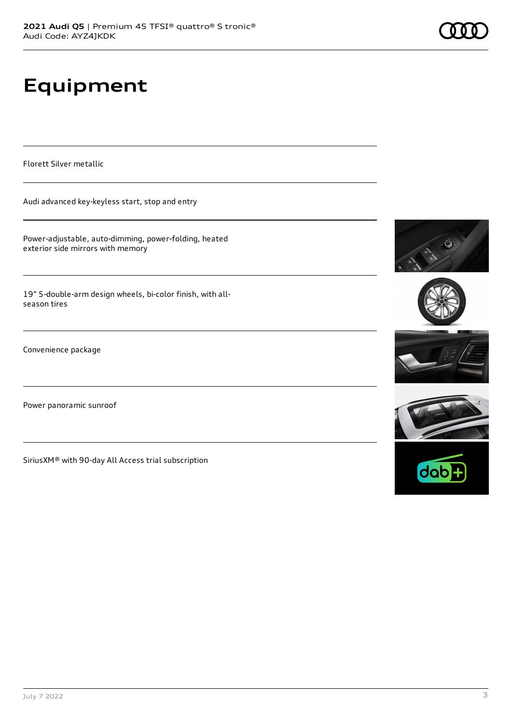# **Equipment**

Florett Silver metallic

Audi advanced key-keyless start, stop and entry

Power-adjustable, auto-dimming, power-folding, heated exterior side mirrors with memory

19" 5-double-arm design wheels, bi-color finish, with allseason tires

Convenience package

Power panoramic sunroof

SiriusXM® with 90-day All Access trial subscription







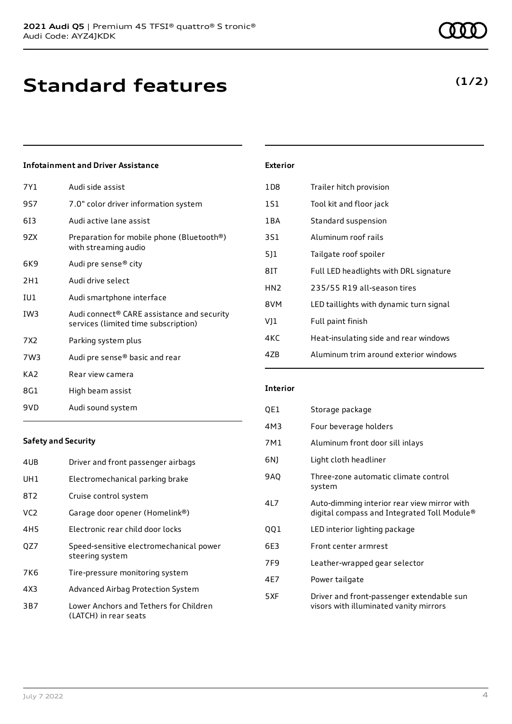### **Infotainment and Driver Assistance**

| 7Y1             | Audi side assist                                                                               |
|-----------------|------------------------------------------------------------------------------------------------|
| 9S7             | 7.0" color driver information system                                                           |
| 613             | Audi active lane assist                                                                        |
| 9ZX             | Preparation for mobile phone (Bluetooth®)<br>with streaming audio                              |
| 6K9             | Audi pre sense® city                                                                           |
| 2H1             | Audi drive select                                                                              |
| IU1             | Audi smartphone interface                                                                      |
| IW3             | Audi connect <sup>®</sup> CARE assistance and security<br>services (limited time subscription) |
| 7X2             | Parking system plus                                                                            |
| 7W3             | Audi pre sense <sup>®</sup> basic and rear                                                     |
| KA <sub>2</sub> | Rear view camera                                                                               |
| 8G1             | High beam assist                                                                               |
| 9VD             | Audi sound system                                                                              |

| <b>Exterior</b> |                                         |
|-----------------|-----------------------------------------|
| 1D8             | Trailer hitch provision                 |
| 1S1             | Tool kit and floor jack                 |
| 1 B A           | Standard suspension                     |
| 3S1             | Aluminum roof rails                     |
| 511             | Tailgate roof spoiler                   |
| 8IT             | Full LED headlights with DRL signature  |
| HN <sub>2</sub> | 235/55 R19 all-season tires             |
| 8VM             | LED taillights with dynamic turn signal |
| VJ1             | Full paint finish                       |
| 4KC             | Heat-insulating side and rear windows   |
| 47B             | Aluminum trim around exterior windows   |

### **Safety and Security**

| 4UB             | Driver and front passenger airbags                              |
|-----------------|-----------------------------------------------------------------|
| UH1             | Electromechanical parking brake                                 |
| 8T2             | Cruise control system                                           |
| VC2.            | Garage door opener (Homelink®)                                  |
| 4H <sub>5</sub> | Electronic rear child door locks                                |
| OZ7             | Speed-sensitive electromechanical power<br>steering system      |
| 7K6             | Tire-pressure monitoring system                                 |
| 4X3             | Advanced Airbag Protection System                               |
| 3B7             | Lower Anchors and Tethers for Children<br>(LATCH) in rear seats |

#### **Interior**

| QE1 | Storage package                                                                            |
|-----|--------------------------------------------------------------------------------------------|
| 4M3 | Four beverage holders                                                                      |
| 7M1 | Aluminum front door sill inlays                                                            |
| 6N) | Light cloth headliner                                                                      |
| 9AQ | Three-zone automatic climate control<br>system                                             |
| 4L7 | Auto-dimming interior rear view mirror with<br>digital compass and Integrated Toll Module® |
| QQ1 | LED interior lighting package                                                              |
| 6E3 | Front center armrest                                                                       |
| 7F9 | Leather-wrapped gear selector                                                              |
| 4E7 | Power tailgate                                                                             |
| 5XF | Driver and front-passenger extendable sun<br>visors with illuminated vanity mirrors        |

**(1/2)**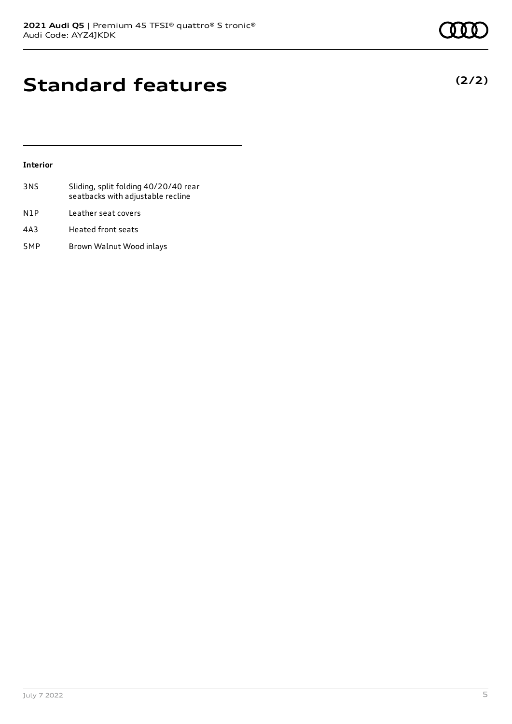### **Standard features**

#### **Interior**

- 3NS Sliding, split folding 40/20/40 rear seatbacks with adjustable recline N1P Leather seat covers 4A3 Heated front seats
- 5MP Brown Walnut Wood inlays



### **(2/2)**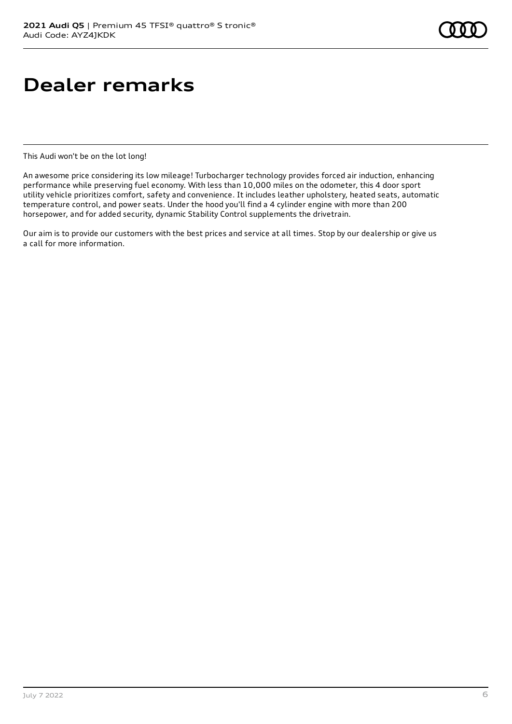### **Dealer remarks**

This Audi won't be on the lot long!

An awesome price considering its low mileage! Turbocharger technology provides forced air induction, enhancing performance while preserving fuel economy. With less than 10,000 miles on the odometer, this 4 door sport utility vehicle prioritizes comfort, safety and convenience. It includes leather upholstery, heated seats, automatic temperature control, and power seats. Under the hood you'll find a 4 cylinder engine with more than 200 horsepower, and for added security, dynamic Stability Control supplements the drivetrain.

Our aim is to provide our customers with the best prices and service at all times. Stop by our dealership or give us a call for more information.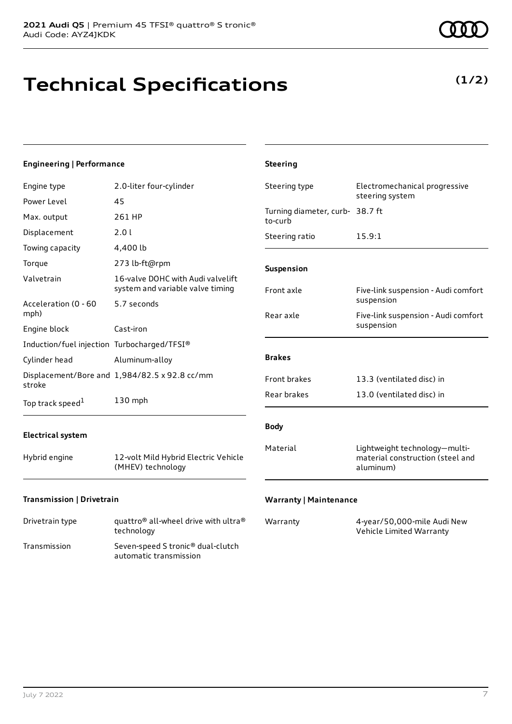# **Technical Specifications**

**(1/2)**

| <b>Engineering   Performance</b>                             |                                                                                        | <b>Steering</b>                            |                                                                   |
|--------------------------------------------------------------|----------------------------------------------------------------------------------------|--------------------------------------------|-------------------------------------------------------------------|
| Engine type                                                  | 2.0-liter four-cylinder                                                                | Steering type                              | Electromechanical progressive<br>steering system                  |
| Power Level<br>Max. output                                   | 45<br>261 HP                                                                           | Turning diameter, curb- 38.7 ft<br>to-curb |                                                                   |
| Displacement<br>Towing capacity                              | 2.0 l<br>4,400 lb                                                                      | Steering ratio                             | 15.9:1                                                            |
| Torque<br>Valvetrain                                         | 273 lb-ft@rpm<br>16-valve DOHC with Audi valvelift<br>system and variable valve timing | Suspension<br>Front axle                   | Five-link suspension - Audi comfort                               |
| Acceleration (0 - 60<br>mph)<br>Engine block                 | 5.7 seconds<br>Cast-iron                                                               | Rear axle                                  | suspension<br>Five-link suspension - Audi comfort<br>suspension   |
| Induction/fuel injection Turbocharged/TFSI®<br>Cylinder head | Aluminum-alloy                                                                         | <b>Brakes</b>                              |                                                                   |
| stroke<br>Top track speed <sup>1</sup>                       | Displacement/Bore and 1,984/82.5 x 92.8 cc/mm<br>130 mph                               | Front brakes<br>Rear brakes                | 13.3 (ventilated disc) in<br>13.0 (ventilated disc) in            |
| <b>Electrical system</b><br>Hybrid engine                    | 12-volt Mild Hybrid Electric Vehicle<br>(MHEV) technology                              | <b>Body</b><br>Material                    | Lightweight technology-multi-<br>material construction (steel and |
| Transmission   Drivetrain                                    |                                                                                        | <b>Warranty   Maintenance</b>              | aluminum)                                                         |

| Drivetrain type | quattro <sup>®</sup> all-wheel drive with ultra <sup>®</sup><br>technology |
|-----------------|----------------------------------------------------------------------------|
| Transmission    | Seven-speed S tronic <sup>®</sup> dual-clutch<br>automatic transmission    |

| Warranty | 4-year/50,000-mile Audi New |
|----------|-----------------------------|
|          | Vehicle Limited Warranty    |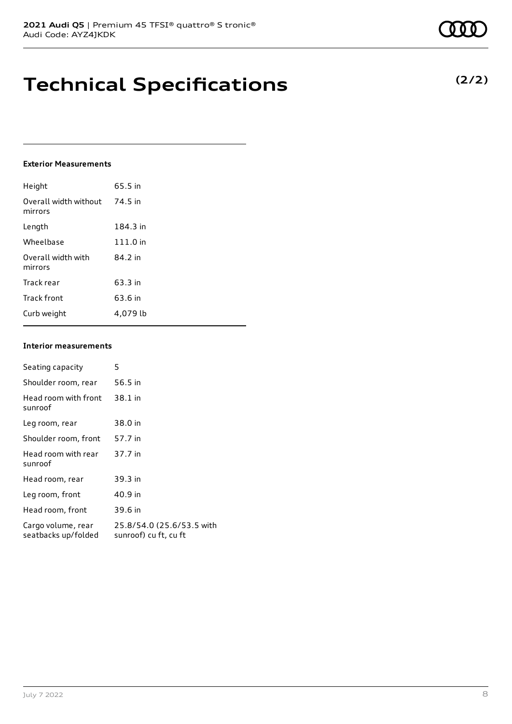### **Technical Specifications**

#### **Exterior Measurements**

| Height                           | 65.5 in  |
|----------------------------------|----------|
| Overall width without<br>mirrors | 74.5 in  |
| Length                           | 184.3 in |
| Wheelbase                        | 111.0 in |
| Overall width with<br>mirrors    | 84.2 in  |
| Track rear                       | 63.3 in  |
| Track front                      | 63.6 in  |
| Curb weight                      | 4.079 lb |

#### **Interior measurements**

| Seating capacity                          | 5                                                  |
|-------------------------------------------|----------------------------------------------------|
| Shoulder room, rear                       | 56.5 in                                            |
| Head room with front<br>sunroof           | 38.1 in                                            |
| Leg room, rear                            | 38.0 in                                            |
| Shoulder room, front                      | 57.7 in                                            |
| Head room with rear<br>sunroof            | 37.7 in                                            |
| Head room, rear                           | 39.3 in                                            |
| Leg room, front                           | 40.9 in                                            |
| Head room, front                          | 39.6 in                                            |
| Cargo volume, rear<br>seatbacks up/folded | 25.8/54.0 (25.6/53.5 with<br>sunroof) cu ft, cu ft |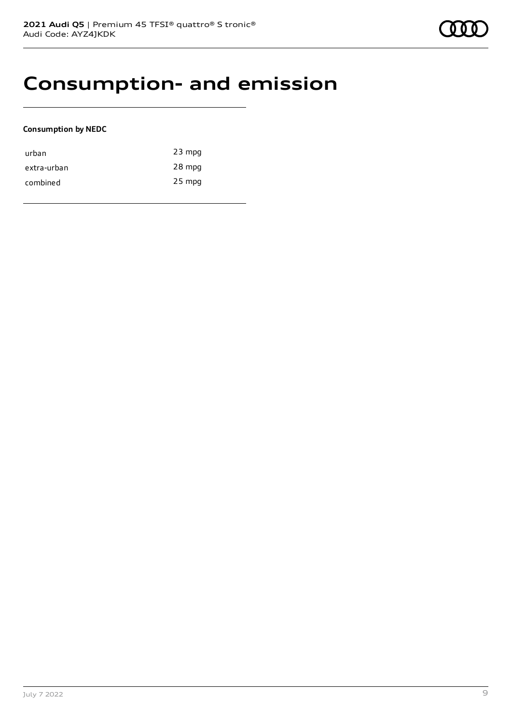### **Consumption- and emission**

#### **Consumption by NEDC**

| urban       | $23$ mpg |
|-------------|----------|
| extra-urban | 28 mpg   |
| combined    | $25$ mpg |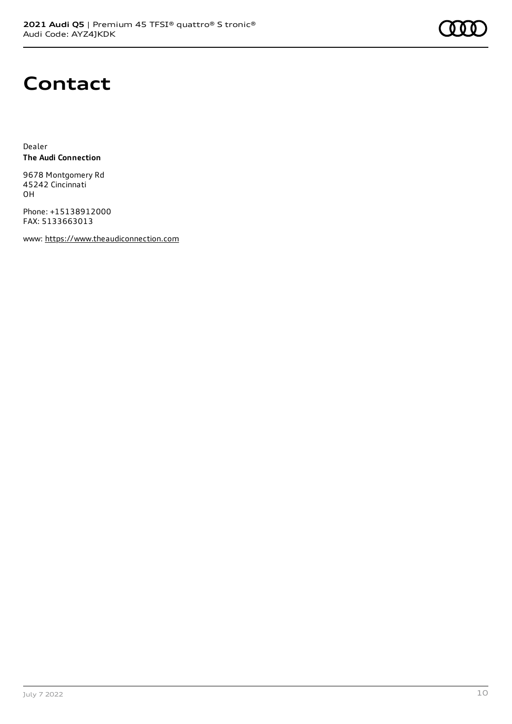

### **Contact**

Dealer **The Audi Connection**

9678 Montgomery Rd 45242 Cincinnati OH

Phone: +15138912000 FAX: 5133663013

www: [https://www.theaudiconnection.com](https://www.theaudiconnection.com/)